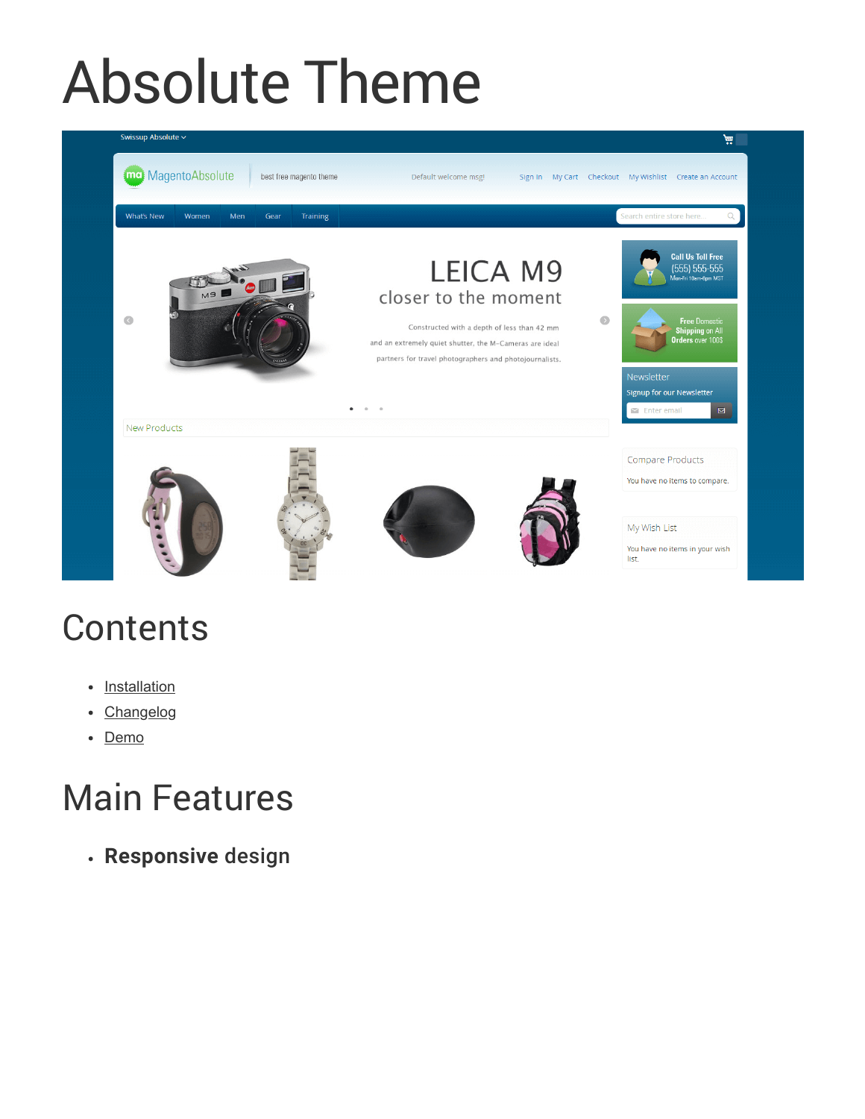# Absolute Theme



## **Contents**

- [Installation](http://docs.swissuplabs.com/m2/themes/absolute/installation/)
- [Changelog](http://docs.swissuplabs.com/m2/themes/absolute/changelog/)
- [Demo](http://freedemo.swissuplabs.com/)

## Main Features

**Responsive** design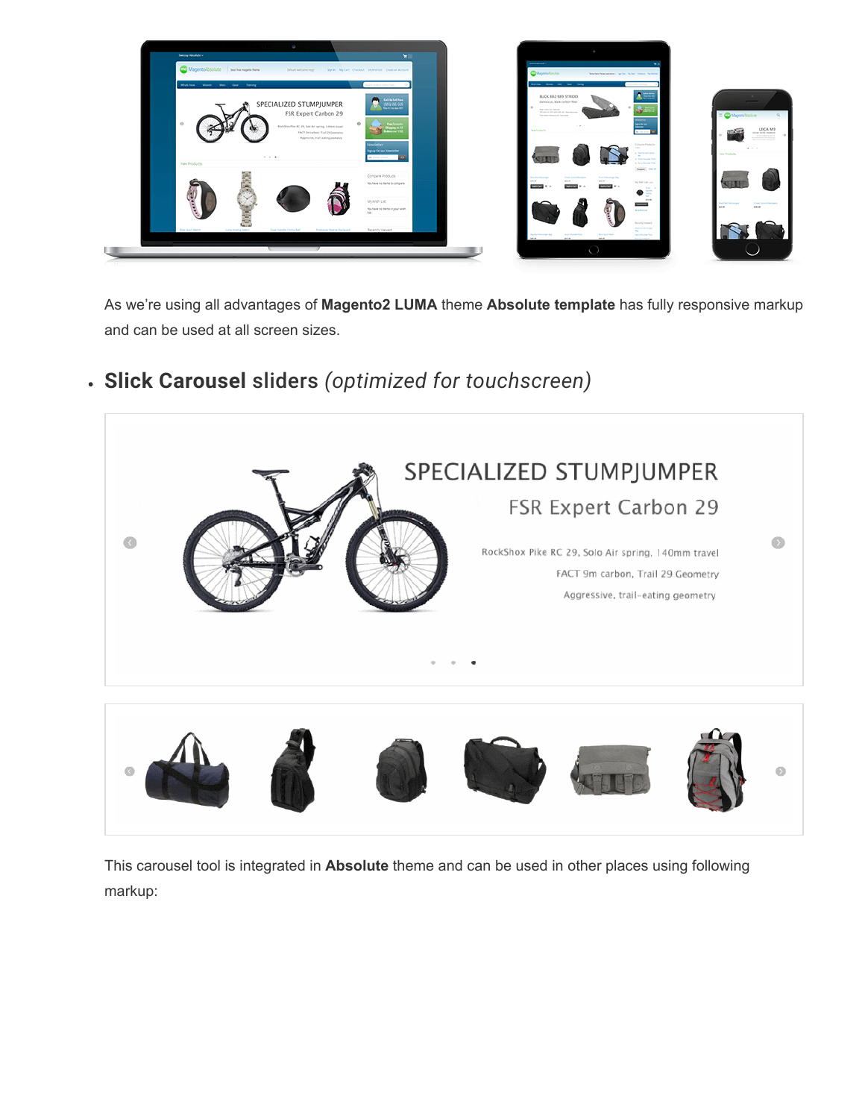

As we're using all advantages of **Magento2 LUMA** theme **Absolute template** has fully responsive markup and can be used at all screen sizes.



### **Slick Carousel** sliders *(optimized for touchscreen)*

 $\odot$ 

This carousel tool is integrated in **Absolute** theme and can be used in other places using following markup: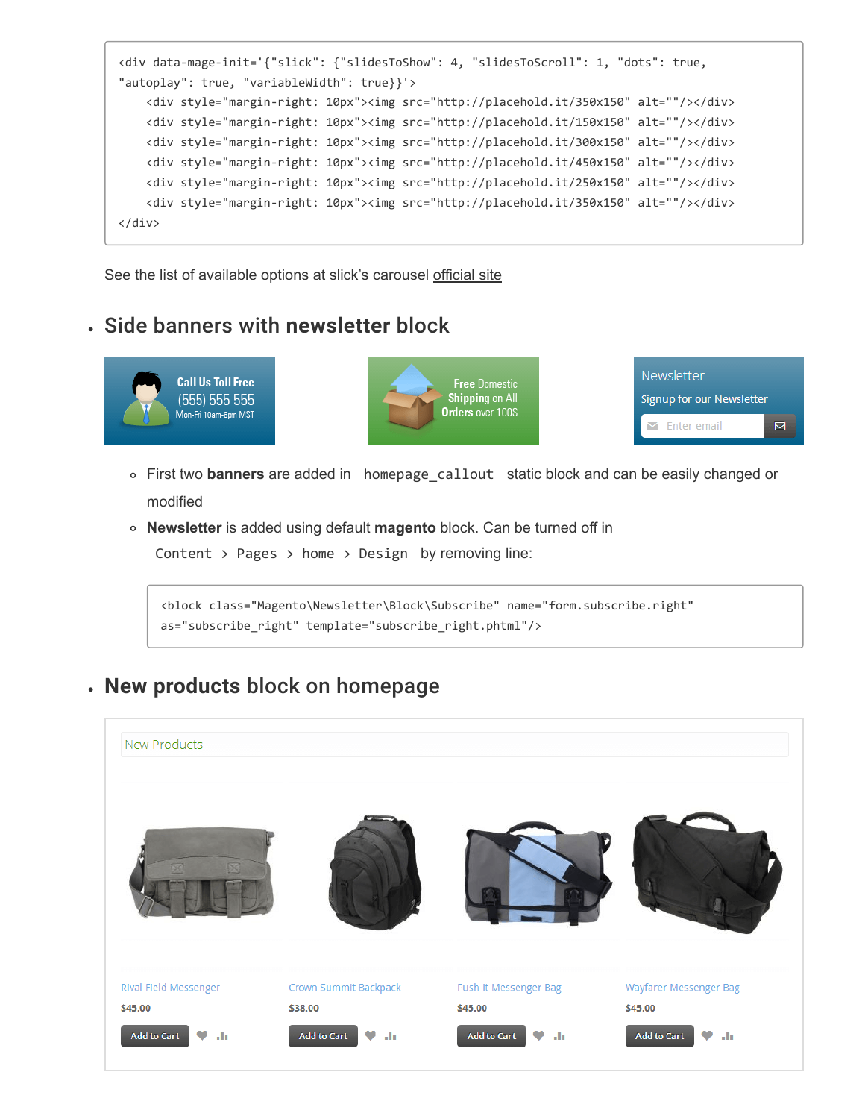```
<div data-mage-init='{"slick": {"slidesToShow": 4, "slidesToScroll": 1, "dots": true,
"autoplay": true, "variableWidth": true}}'>
    <div style="margin-right: 10px"><img src="http://placehold.it/350x150" alt=""/></div>
    <div style="margin-right: 10px"><img src="http://placehold.it/150x150" alt=""/></div>
    <div style="margin-right: 10px"><img src="http://placehold.it/300x150" alt=""/></div>
    <div style="margin-right: 10px"><img src="http://placehold.it/450x150" alt=""/></div>
    <div style="margin-right: 10px"><img src="http://placehold.it/250x150" alt=""/></div>
    <div style="margin-right: 10px"><img src="http://placehold.it/350x150" alt=""/></div>
</div>
```
See the list of available options at slick's carousel [official site](http://kenwheeler.github.io/slick/#settings)

#### Side banners with **newsletter** block



- First two **banners** are added in homepage\_callout static block and can be easily changed or modified
- **Newsletter** is added using default **magento** block. Can be turned off in

Content > Pages > home > Design by removing line:

<block class="Magento\Newsletter\Block\Subscribe" name="form.subscribe.right" as="subscribe\_right" template="subscribe\_right.phtml"/>

#### **New products** block on homepage

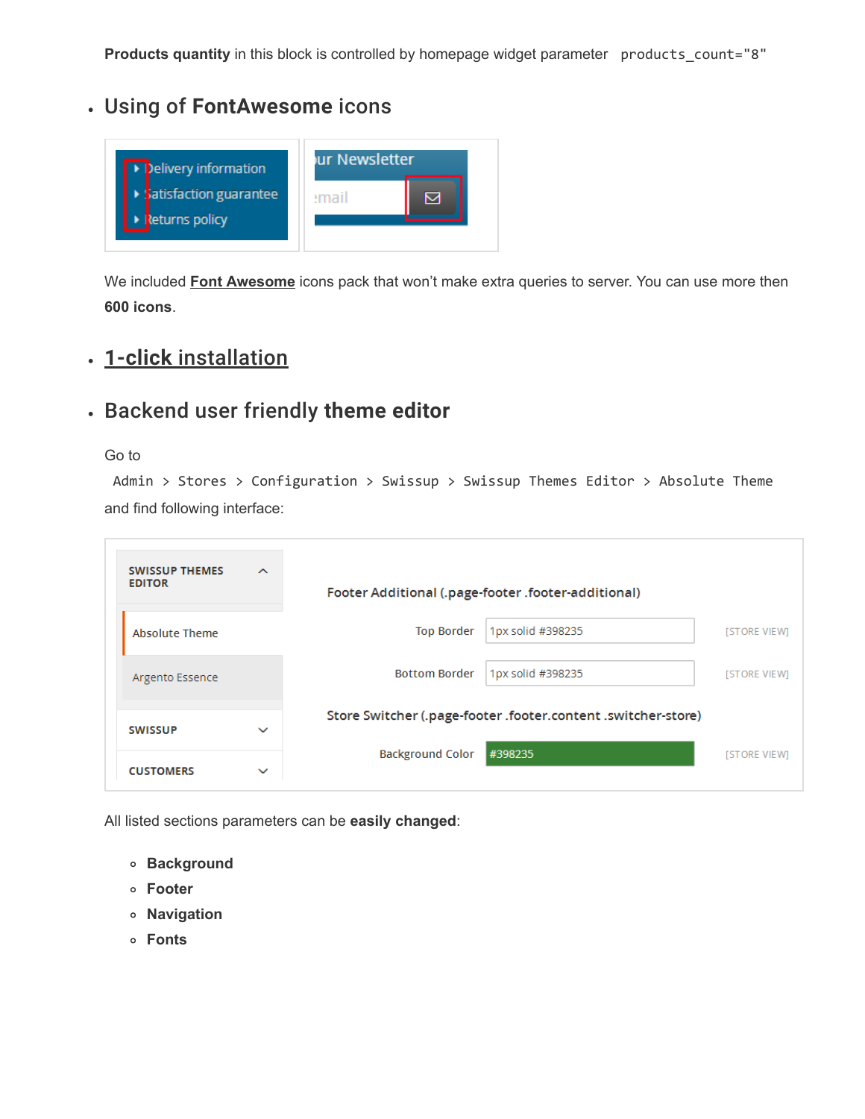**Products quantity** in this block is controlled by homepage widget parameter products\_count="8"

#### Using of **FontAwesome** icons



We included **[Font Awesome](http://fontawesome.io/icons/)** icons pack that won't make extra queries to server. You can use more then **600 icons**.

#### **1-click** [installation](http://docs.swissuplabs.com/m2/themes/absolute/installation/#setup-configuration-and-theme-content)

#### Backend user friendly **theme editor**

#### Go to

Admin > Stores > Configuration > Swissup > Swissup Themes Editor > Absolute Theme and find following interface:

| <b>SWISSUP THEMES</b><br><b>EDITOR</b> | $\sim$       |                                                               | Footer Additional (.page-footer .footer-additional) |                     |
|----------------------------------------|--------------|---------------------------------------------------------------|-----------------------------------------------------|---------------------|
| <b>Absolute Theme</b>                  |              | <b>Top Border</b>                                             | 1px solid #398235                                   | <b>ISTORE VIEWI</b> |
| Argento Essence                        |              | <b>Bottom Border</b>                                          | 1px solid #398235                                   | <b>ISTORE VIEWI</b> |
| <b>SWISSUP</b>                         | $\checkmark$ | Store Switcher (.page-footer .footer.content .switcher-store) |                                                     |                     |
| <b>CUSTOMERS</b>                       | $\checkmark$ | <b>Background Color</b>                                       | #398235                                             | <b>ISTORE VIEWI</b> |

All listed sections parameters can be **easily changed**:

- **Background**
- **Footer**
- **Navigation**
- **Fonts**